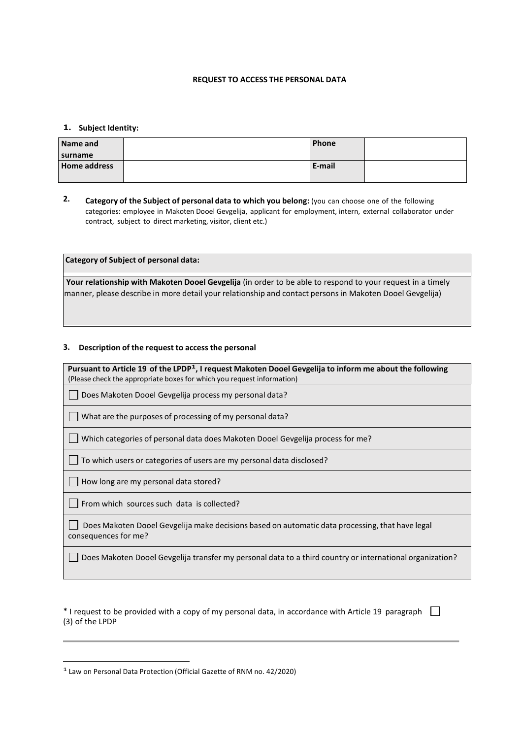## **REQUEST TO ACCESS THE PERSONAL DATA**

## **1. Subject Identity:**

**data**

| Name and            | <b>Phone</b> |  |
|---------------------|--------------|--|
| surname             |              |  |
| <b>Home address</b> | E-mail       |  |
|                     |              |  |

**2. Category of the Subject of personal data to which you belong:** (you can choose one of the following categories: employee in Makoten Dooel Gevgelija, applicant for employment, intern, external collaborator under contract, subject to direct marketing, visitor, client etc.)

**Category of Subject of personal data:**

**Your relationship with Makoten Dooel Gevgelija** (in order to be able to respond to your request in a timely manner, please describe in more detail your relationship and contact personsin Makoten Dooel Gevgelija)

## **3. Description of the request to access the personal**

Pursuant to Article 19 of the LPDP<sup>1</sup>, I request Makoten Dooel Gevgelija to inform me about the following (Please check the appropriate boxes for which you request information)

Does Makoten Dooel Gevgelija process my personal data?

What are the purposes of processing of my personal data?

 $\Box$  Which categories of personal data does Makoten Dooel Gevgelija process for me?

To which users or categories of users are my personal data disclosed?

 $\Box$  How long are my personal data stored?

From which sources such data is collected?

Does Makoten Dooel Gevgelija make decisions based on automatic data processing, that have legal consequences for me?

Does Makoten Dooel Gevgelija transfer my personal data to a third country or international organization?

 $*$  I request to be provided with a copy of my personal data, in accordance with Article 19 paragraph  $\Box$ (3) of the LPDP

1 Law on Personal Data Protection (Official Gazette of RNM no. 42/2020)